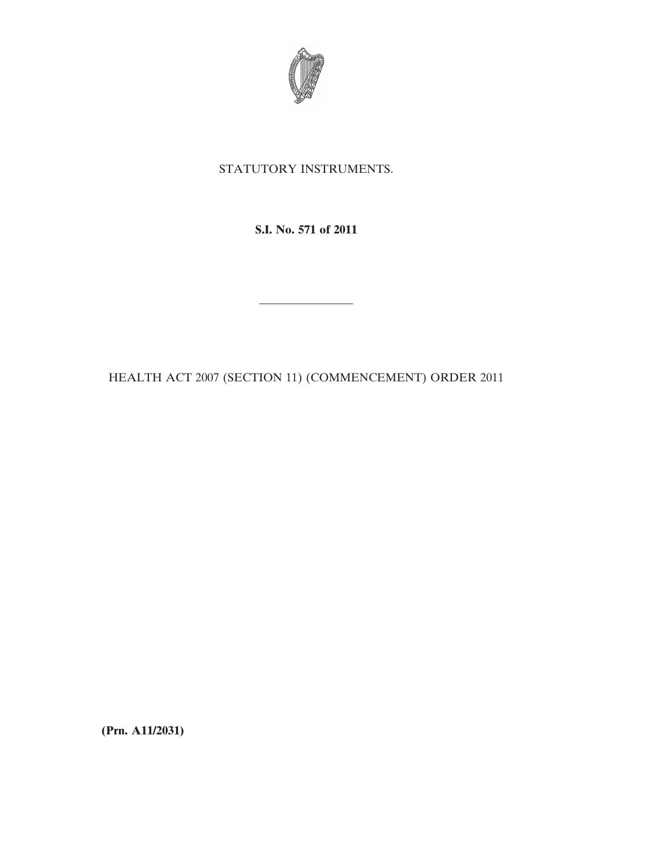

## STATUTORY INSTRUMENTS.

**S.I. No. 571 of 2011**

HEALTH ACT 2007 (SECTION 11) (COMMENCEMENT) ORDER 2011

————————

**(Prn. A11/2031)**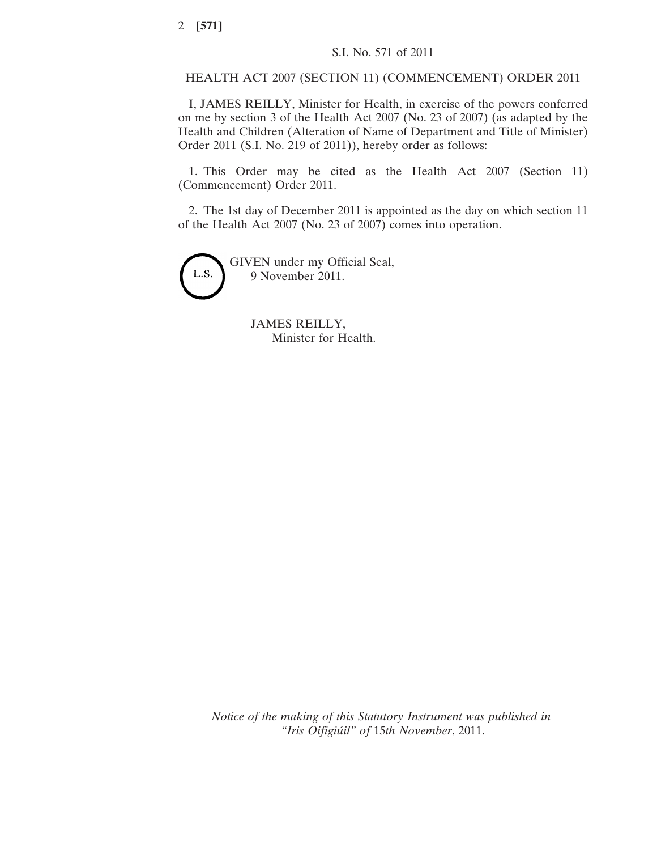## HEALTH ACT 2007 (SECTION 11) (COMMENCEMENT) ORDER 2011

I, JAMES REILLY, Minister for Health, in exercise of the powers conferred on me by section 3 of the Health Act 2007 (No. 23 of 2007) (as adapted by the Health and Children (Alteration of Name of Department and Title of Minister) Order 2011 (S.I. No. 219 of 2011)), hereby order as follows:

1. This Order may be cited as the Health Act 2007 (Section 11) (Commencement) Order 2011.

2. The 1st day of December 2011 is appointed as the day on which section 11 of the Health Act 2007 (No. 23 of 2007) comes into operation.

GIVEN under my Official Seal, L.S. 9 November 2011.

> JAMES REILLY, Minister for Health.

*Notice of the making of this Statutory Instrument was published in "Iris Oifigiúil" of* 15*th November*, 2011.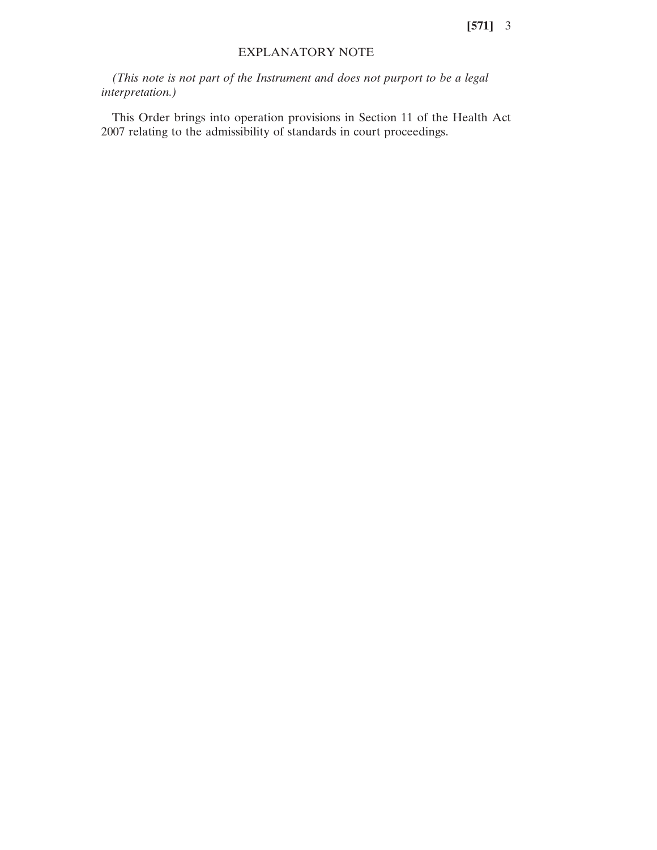## EXPLANATORY NOTE

*(This note is not part of the Instrument and does not purport to be a legal interpretation.)*

This Order brings into operation provisions in Section 11 of the Health Act 2007 relating to the admissibility of standards in court proceedings.